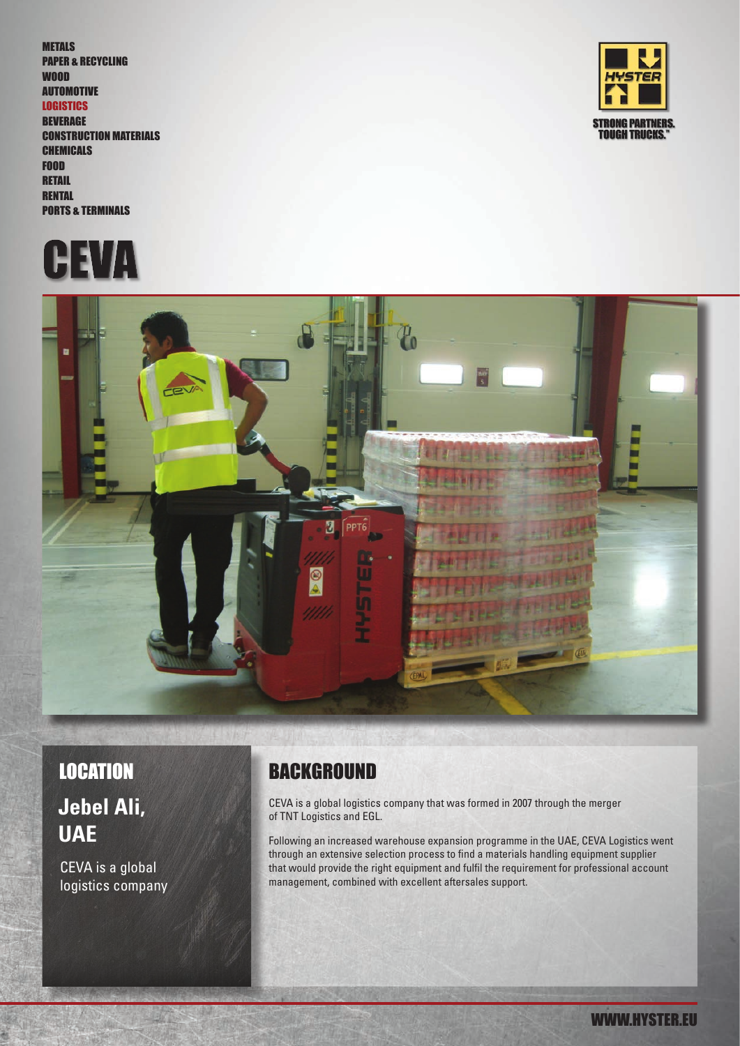METALS PAPER & RECYCLING WOOD AUTOMOTIVE **LOGISTICS BEVERAGE** CONSTRUCTION MATERIALS CHEMICALS FOOD **RETAIL RENTAL** PORTS & TERMINALS





WWW.HYSTER.EU



# **Jebel Ali, UAE**

CEVA is a global logistics company

### LOCATION BACKGROUND

CEVA is a global logistics company that was formed in 2007 through the merger of TNT Logistics and EGL.

Following an increased warehouse expansion programme in the UAE, CEVA Logistics went through an extensive selection process to find a materials handling equipment supplier that would provide the right equipment and fulfil the requirement for professional account management, combined with excellent aftersales support.